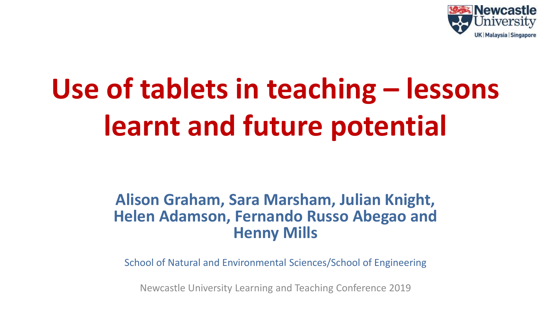

# **Use of tablets in teaching – lessons learnt and future potential**

#### **Alison Graham, Sara Marsham, Julian Knight, Helen Adamson, Fernando Russo Abegao and Henny Mills**

School of Natural and Environmental Sciences/School of Engineering

Newcastle University Learning and Teaching Conference 2019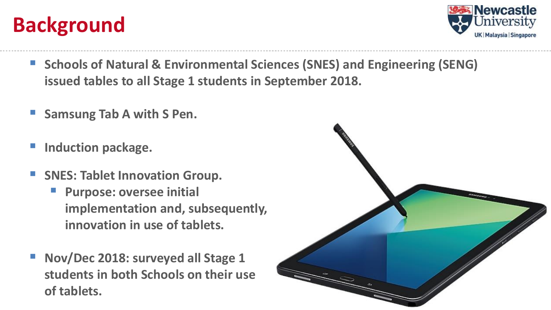# **Background**



- Schools of Natural & Environmental Sciences (SNES) and Engineering (SENG) **issued tables to all Stage 1 students in September 2018.**
- **Samsung Tab A with S Pen.**
- **Induction package.**
- **F** SNES: Tablet Innovation Group.
	- **Purpose: oversee initial implementation and, subsequently, innovation in use of tablets.**
- **Nov/Dec 2018: surveyed all Stage 1 students in both Schools on their use of tablets.**

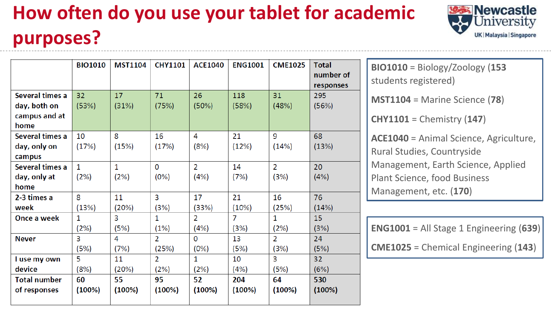# **How often do you use your tablet for academic purposes?**



**悠秀 Newcastle** University UK | Malaysia | Singapore

**BIO1010** = Biology/Zoology (**153** students registered) **MST1104** = Marine Science (**78**) **CHY1101** = Chemistry (**147**) **ACE1040** = Animal Science, Agriculture, Rural Studies, Countryside Management, Earth Science, Applied Plant Science, food Business Management, etc. (**170**)

**ENG1001** = All Stage 1 Engineering (**639**)

**CME1025** = Chemical Engineering (**143**)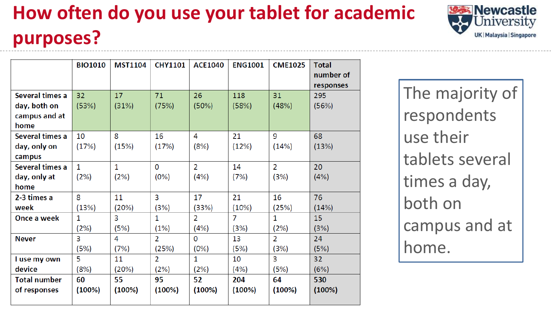# **How often do you use your tablet for academic purposes?**

|                                                  | <b>BIO1010</b>       | <b>MST1104</b>       | <b>CHY1101</b> | <b>ACE1040</b>         | <b>ENG1001</b> | <b>CME1025</b>         | <b>Total</b><br>number of<br>responses |
|--------------------------------------------------|----------------------|----------------------|----------------|------------------------|----------------|------------------------|----------------------------------------|
| Several times a<br>day, both on<br>campus and at | 32<br>(53%)          | 17<br>(31%)          | 71<br>(75%)    | 26<br>(50%)            | 118<br>(58%)   | 31<br>(48%)            | 295<br>(56%)                           |
| home                                             |                      |                      |                |                        |                |                        |                                        |
| Several times a<br>day, only on<br>campus        | 10<br>(17%)          | 8<br>(15%)           | 16<br>(17%)    | 4<br>(8%)              | 21<br>(12%)    | 9<br>(14%)             | 68<br>(13%)                            |
| Several times a<br>day, only at<br>home          | $\mathbf{1}$<br>(2%) | $\mathbf{1}$<br>(2%) | 0<br>(0%)      | $\overline{2}$<br>(4%) | 14<br>(7%)     | $\overline{2}$<br>(3%) | 20<br>(4%)                             |
| 2-3 times a                                      | 8                    | 11                   | 3              | 17                     | 21             | 16                     | 76                                     |
| week                                             | (13%)                | (20%)                | (3%)           | (33%)                  | (10%)          | (25%)                  | (14%)                                  |
| Once a week                                      | $\mathbf{1}$         | 3                    | 1              | $\overline{2}$         | $\overline{7}$ | 1                      | 15                                     |
|                                                  | (2%)                 | (5%)                 | (1%)           | (4%)                   | (3%)           | (2%)                   | (3%)                                   |
| <b>Never</b>                                     | 3                    | 4                    | $\overline{2}$ | 0                      | 13             | $\overline{2}$         | 24                                     |
|                                                  | (5%)                 | (7%)                 | (25%)          | (0%)                   | (5%)           | (3%)                   | (5%)                                   |
| I use my own                                     | 5                    | 11                   | $\overline{2}$ | $\mathbf{1}$           | 10             | 3                      | 32                                     |
| device                                           | (8%)                 | (20%)                | (2%)           | (2%)                   | (4%)           | (5%)                   | (6%)                                   |
| <b>Total number</b>                              | 60                   | 55                   | 95             | 52                     | 204            | 64                     | 530                                    |
| of responses                                     | (100%)               | (100%)               | (100%)         | (100%)                 | (100%)         | (100%)                 | (100%)                                 |

The majority of respondents use their tablets several times a day, both on campus and at home.

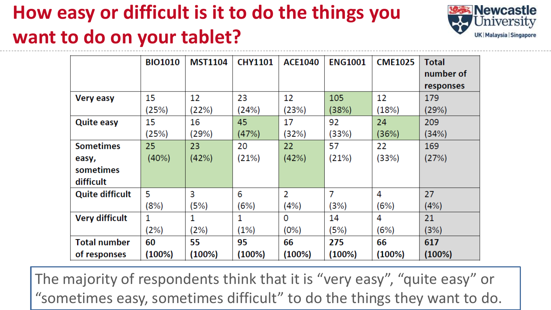### **How easy or difficult is it to do the things you want to do on your tablet?**



|                        | <b>BIO1010</b> | <b>MST1104</b> | <b>CHY1101</b> | <b>ACE1040</b> | <b>ENG1001</b> | <b>CME1025</b> | <b>Total</b> |
|------------------------|----------------|----------------|----------------|----------------|----------------|----------------|--------------|
|                        |                |                |                |                |                |                | number of    |
|                        |                |                |                |                |                |                | responses    |
| <b>Very easy</b>       | 15             | 12             | 23             | 12             | 105            | 12             | 179          |
|                        | (25%)          | (22%)          | (24%)          | (23%)          | (38%)          | (18%)          | (29%)        |
| <b>Quite easy</b>      | 15             | 16             | 45             | 17             | 92             | 24             | 209          |
|                        | (25%)          | (29%)          | (47%)          | (32%)          | (33%)          | (36%)          | (34%)        |
| <b>Sometimes</b>       | 25             | 23             | 20             | 22             | 57             | 22             | 169          |
| easy,                  | (40%)          | (42%)          | (21%)          | (42%)          | (21%)          | (33%)          | (27%)        |
| sometimes              |                |                |                |                |                |                |              |
| difficult              |                |                |                |                |                |                |              |
| <b>Quite difficult</b> | 5              | 3              | 6              | 2              | 7              | 4              | 27           |
|                        | (8%)           | (5%)           | (6%)           | (4%)           | (3%)           | (6%)           | (4%)         |
| <b>Very difficult</b>  | 1              | 1              | 1              | 0              | 14             | 4              | 21           |
|                        | (2%)           | (2%)           | (1%)           | (0%)           | (5%)           | (6%)           | (3%)         |
| <b>Total number</b>    | 60             | 55             | 95             | 66             | 275            | 66             | 617          |
| of responses           | $(100\%)$      | (100%)         | (100%)         | (100%)         | (100%)         | (100%)         | (100%)       |

The majority of respondents think that it is "very easy", "quite easy" or "sometimes easy, sometimes difficult" to do the things they want to do.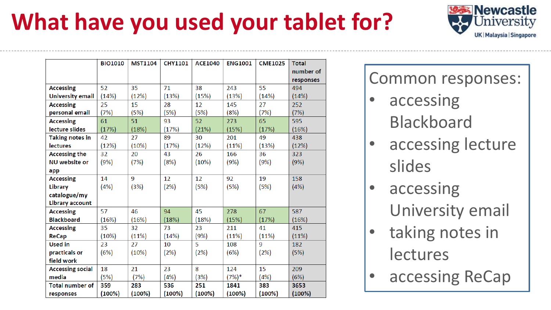# **What have you used your tablet for?**

|                         | <b>BIO1010</b> | <b>MST1104</b> | <b>CHY1101</b> | <b>ACE1040</b> | <b>ENG1001</b> | <b>CME1025</b> | <b>Total</b> |
|-------------------------|----------------|----------------|----------------|----------------|----------------|----------------|--------------|
|                         |                |                |                |                |                |                | number of    |
|                         |                |                |                |                |                |                | responses    |
| <b>Accessing</b>        | 52             | 35             | 71             | 38             | 243            | 55             | 494          |
| <b>University email</b> | (14%)          | (12%)          | (13%)          | (15%)          | (13%)          | (14%)          | (14%)        |
| <b>Accessing</b>        | 25             | 15             | 28             | 12             | 145            | 27             | 252          |
| personal email          | (7%)           | (5%)           | (5%)           | (5%)           | (8%)           | (7%)           | (7%)         |
| <b>Accessing</b>        | 61             | 51             | 93             | 52             | 273            | 65             | 595          |
| lecture slides          | (17%)          | (18%)          | (17%)          | (21%)          | (15%)          | (17%)          | (16%)        |
| <b>Taking notes in</b>  | 42             | 27             | 89             | 30             | 201            | 49             | 438          |
| <b>lectures</b>         | (12%)          | (10%)          | (17%)          | (12%)          | (11%)          | (13%)          | (12%)        |
| <b>Accessing the</b>    | 32             | 20             | 43             | 26             | 166            | 36             | 323          |
| <b>NU</b> website or    | (9%)           | (7%)           | (8%)           | (10%)          | (9%)           | (9%)           | (9%)         |
| app                     |                |                |                |                |                |                |              |
| <b>Accessing</b>        | 14             | 9              | 12             | 12             | 92             | 19             | 158          |
| <b>Library</b>          | (4% )          | (3%)           | (2%)           | (5%)           | (5%)           | (5%)           | (4% )        |
| catalogue/my            |                |                |                |                |                |                |              |
| <b>Library account</b>  |                |                |                |                |                |                |              |
| <b>Accessing</b>        | 57             | 46             | 94             | 45             | 278            | 67             | 587          |
| <b>Blackboard</b>       | (16%)          | (16%)          | (18%)          | (18%)          | (15%)          | (17%)          | (16%)        |
| <b>Accessing</b>        | 35             | 32             | 73             | 23             | 211            | 41             | 415          |
| <b>ReCap</b>            | (10%)          | (11%)          | (14%)          | (9%)           | (11%)          | (11%)          | (11%)        |
| <b>Used in</b>          | 23             | 27             | 10             | 5              | 108            | 9              | 182          |
| practicals or           | (6%)           | (10%)          | (2%)           | (2%)           | (6%)           | (2%)           | (5%)         |
| field work              |                |                |                |                |                |                |              |
| <b>Accessing social</b> | 18             | 21             | 23             | 8              | 124            | 15             | 209          |
| media                   | (5%)           | (7%)           | (4%)           | (3%)           | (7%)*          | (4%)           | (6%)         |
| <b>Total number of</b>  | 359            | 283            | 536            | 251            | 1841           | 383            | 3653         |
| responses               | (100%)         | (100%)         | (100%)         | (100%)         | (100%)         | (100%)         | (100%)       |

Common responses:

**R** Newcastle

Iniversity

UK | Malaysia | Singapore

- accessing Blackboard
- accessing lecture slides
- accessing University email
- taking notes in lectures
- accessing ReCap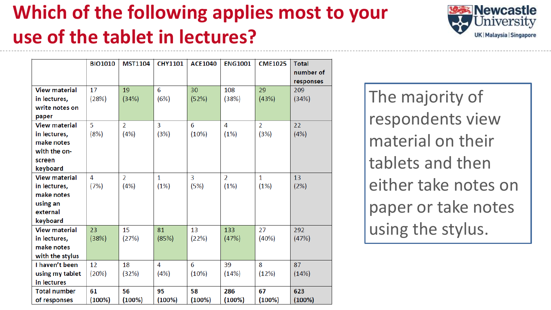# **Which of the following applies most to your use of the tablet in lectures?**



|                         | <b>BIO1010</b> | <b>MST1104</b> | <b>CHY1101</b> | <b>ACE1040</b> | <b>ENG1001</b> | <b>CME1025</b> | <b>Total</b><br>number of |
|-------------------------|----------------|----------------|----------------|----------------|----------------|----------------|---------------------------|
|                         |                |                |                |                |                |                | responses                 |
| <b>View material</b>    | 17             | 19             | 6              | 30             | 108            | 29             | 209                       |
| in lectures,            | (28%)          | (34%)          | (6%)           | (52%)          | (38%)          | (43%)          | (34%)                     |
| write notes on<br>paper |                |                |                |                |                |                |                           |
| <b>View material</b>    | 5              | $\overline{2}$ | $\overline{3}$ | 6              | 4              | $\overline{2}$ | 22                        |
| in lectures,            | (8%)           | (4% )          | (3%)           | (10%)          | (1%)           | (3%)           | (4%)                      |
| make notes              |                |                |                |                |                |                |                           |
| with the on-            |                |                |                |                |                |                |                           |
| screen                  |                |                |                |                |                |                |                           |
| keyboard                |                |                |                |                |                |                |                           |
| <b>View material</b>    | 4              | $\overline{2}$ | $\mathbf{1}$   | 3              | $\overline{2}$ | $\mathbf{1}$   | 13                        |
| in lectures,            | (7%)           | (4%)           | (1%)           | (5%)           | (1%)           | (1%)           | (2%)                      |
| make notes              |                |                |                |                |                |                |                           |
| using an                |                |                |                |                |                |                |                           |
| external                |                |                |                |                |                |                |                           |
| keyboard                |                |                |                |                |                |                |                           |
| <b>View material</b>    | 23             | 15             | 81             | 13             | 133            | 27             | 292                       |
| in lectures,            | (38%)          | (27%)          | (85%)          | (22%)          | (47%)          | (40%)          | (47%)                     |
| make notes              |                |                |                |                |                |                |                           |
| with the stylus         |                |                |                |                |                |                |                           |
| I haven't been          | 12             | 18             | 4              | 6              | 39             | 8              | 87                        |
| using my tablet         | (20%)          | (32%)          | (4%)           | (10%)          | (14%)          | (12%)          | (14%)                     |
| in lectures             |                |                |                |                |                |                |                           |
| <b>Total number</b>     | 61             | 56             | 95             | 58             | 286            | 67             | 623                       |
| of responses            | (100%)         | (100%)         | (100%)         | (100%)         | (100%)         | (100%)         | (100%)                    |

The majority of respondents view material on their tablets and then either take notes on paper or take notes using the stylus.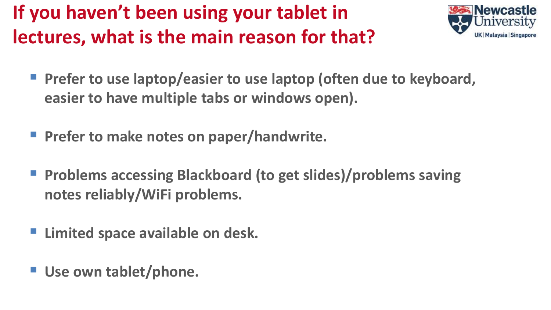# **If you haven't been using your tablet in lectures, what is the main reason for that?**



- **Prefer to use laptop/easier to use laptop (often due to keyboard, easier to have multiple tabs or windows open).**
- **Prefer to make notes on paper/handwrite.**
- **Problems accessing Blackboard (to get slides)/problems saving notes reliably/WiFi problems.**
- **Limited space available on desk.**
- Use own tablet/phone.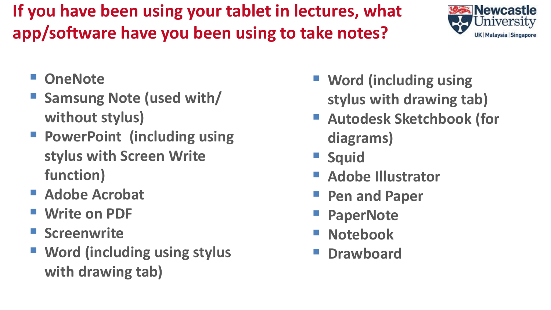#### **If you have been using your tablet in lectures, what app/software have you been using to take notes?**



- **OneNote**
- **Samsung Note (used with/ without stylus)**
- **PowerPoint (including using stylus with Screen Write function)**
- **Adobe Acrobat**
- **Write on PDF**
- **F** Screenwrite
- **Word (including using stylus with drawing tab)**
- **Word (including using stylus with drawing tab)**
- **Autodesk Sketchbook (for diagrams)**
- **Squid**
- **Adobe Illustrator**
- **Pen and Paper**
- **PaperNote**
- **Notebook**
- **Drawboard**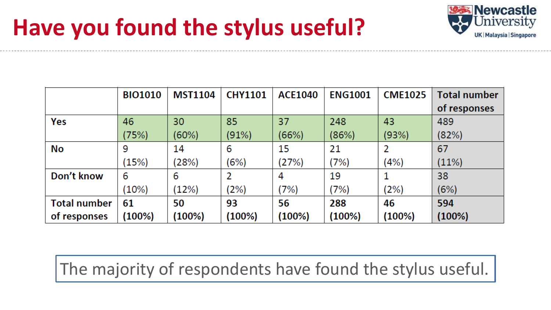# **Have you found the stylus useful?**



|                     | <b>BIO1010</b> | <b>MST1104</b> | <b>CHY1101</b> | <b>ACE1040</b> | <b>ENG1001</b> | <b>CME1025</b> | <b>Total number</b> |
|---------------------|----------------|----------------|----------------|----------------|----------------|----------------|---------------------|
|                     |                |                |                |                |                |                | of responses        |
| Yes                 | 46             | 30             | 85             | 37             | 248            | 43             | 489                 |
|                     | (75%)          | (60%)          | (91%)          | (66%)          | (86%)          | (93%)          | (82%)               |
| No                  | 9              | 14             | 6              | 15             | 21             | 2              | 67                  |
|                     | (15%)          | (28%)          | (6%)           | (27%)          | (7%)           | (4%)           | (11%)               |
| Don't know          | 6              | 6              | 2              | 4              | 19             |                | 38                  |
|                     | (10%)          | (12%)          | (2%)           | (7%)           | $7\%$          | (2%)           | (6%)                |
| <b>Total number</b> | 61             | 50             | 93             | 56             | 288            | 46             | 594                 |
| of responses        | (100%)         | (100%)         | (100%)         | (100%)         | (100%)         | (100%)         | (100%)              |

The majority of respondents have found the stylus useful.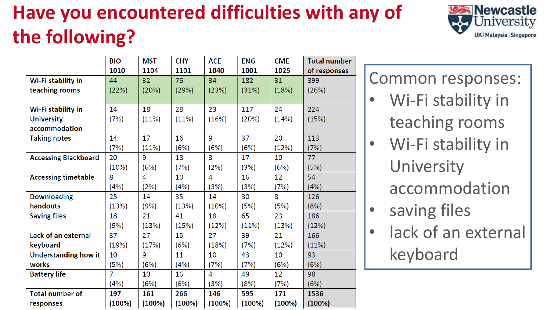# **Have you encountered difficulties with any of the following?**

|                             | <b>BIO</b>     | <b>MST</b> | <b>CHY</b> | <b>ACE</b> | <b>ENG</b> | <b>CME</b> | <b>Total number</b> |
|-----------------------------|----------------|------------|------------|------------|------------|------------|---------------------|
|                             | 1010           | 1104       | 1101       | 1040       | 1001       | 1025       | of responses        |
| Wi-Fi stability in          | 44             | 32         | 76         | 34         | 182        | 31         | 399                 |
| teaching rooms              | (22%)          | (20%)      | (29%)      | (23%)      | (31%)      | (18%)      | (26%)               |
|                             |                |            |            |            |            |            |                     |
| Wi-Fi stability in          | 14             | 18         | 28         | 23         | 117        | 24         | 224                 |
| <b>University</b>           | (7%)           | (11%)      | (11%)      | (16%)      | (20%)      | (14%)      | (15%)               |
| accommodation               |                |            |            |            |            |            |                     |
| <b>Taking notes</b>         | 14             | 17         | 16         | 9          | 37         | 20         | 113                 |
|                             | (7%)           | (11%)      | (6%)       | (6%)       | (6%)       | (12%)      | (7%)                |
| <b>Accessing Blackboard</b> | 20             | 9          | 18         | 3          | 17         | 10         | 77                  |
|                             | (10%)          | (6%)       | (7%)       | (2%)       | (3%)       | (6%)       | (5%)                |
| <b>Accessing timetable</b>  | 8              | 4          | 10         | 4          | 16         | 12         | 54                  |
|                             | (4%)           | (2%)       | (4%)       | (3%)       | (3%)       | (7%)       | (4%)                |
| <b>Downloading</b>          | 25             | 14         | 35         | 14         | 30         | 8          | 126                 |
| handouts                    | (13%)          | (9%)       | (13%)      | (10%)      | (5%)       | (5%)       | (8%)                |
| <b>Saving files</b>         | 18             | 21         | 41         | 18         | 65         | 23         | 186                 |
|                             | (9%)           | (13%)      | (15%)      | (12%)      | (11%)      | (13%)      | (12%)               |
| Lack of an external         | 37             | 27         | 15         | 27         | 39         | 21         | 166                 |
| keyboard                    | (19%)          | (17%)      | (6%)       | (18%)      | (7%)       | (12%)      | (11%)               |
| <b>Understanding how it</b> | 10             | 9          | 11         | 10         | 43         | 10         | 93                  |
| works                       | (5%)           | (6%)       | (4%)       | (7%)       | (7%)       | (6%)       | (6%)                |
| <b>Battery life</b>         | $\overline{7}$ | 10         | 16         | 4          | 49         | 12         | 98                  |
|                             | (4% )          | (6%)       | (6%)       | (3%)       | (8%)       | (7%)       | (6%)                |
| <b>Total number of</b>      | 197            | 161        | 266        | 146        | 595        | 171        | 1536                |
| responses                   | (100%)         | (100%)     | (100%)     | (100%)     | (100%)     | (100%)     | (100%)              |

**R** Newcastle Jniversity UK | Malaysia | Singapore

Common responses:

- Wi-Fi stability in teaching rooms
- Wi-Fi stability in **University** accommodation
- saving files
- lack of an external keyboard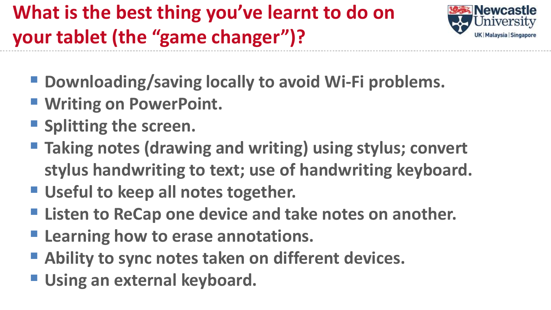# **What is the best thing you've learnt to do on your tablet (the "game changer")?**



- **Downloading/saving locally to avoid Wi-Fi problems.**
- **Writing on PowerPoint.**
- **Splitting the screen.**
- **Taking notes (drawing and writing) using stylus; convert stylus handwriting to text; use of handwriting keyboard.**
- **Useful to keep all notes together.**
- **Listen to ReCap one device and take notes on another.**
- **Learning how to erase annotations.**
- **Ability to sync notes taken on different devices.**
- **Using an external keyboard.**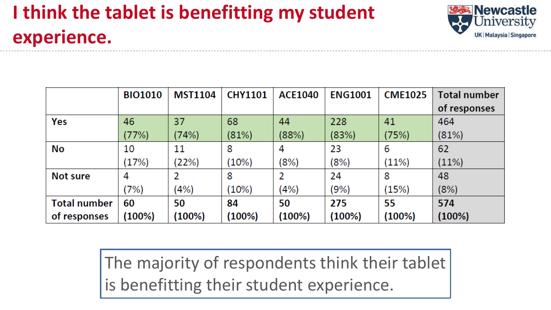# **I think the tablet is benefitting my student experience.**



|                     | <b>BIO1010</b> | <b>MST1104</b> | <b>CHY1101</b> | <b>ACE1040</b> | <b>ENG1001</b> | <b>CME1025</b> | <b>Total number</b> |
|---------------------|----------------|----------------|----------------|----------------|----------------|----------------|---------------------|
|                     |                |                |                |                |                |                | of responses        |
| Yes                 | 46             | 37             | 68             | 44             | 228            | 41             | 464                 |
|                     | (77%)          | (74%)          | (81%)          | (88%)          | (83%)          | (75%)          | (81%)               |
| No                  | 10             | 11             | 8              | 4              | 23             | 6              | 62                  |
|                     | (17%)          | (22%)          | (10%)          | (8%)           | (8%)           | (11%)          | (11%)               |
| Not sure            | 4              |                | 8              | 2              | 24             | 8              | 48                  |
|                     | (7%)           | (4%)           | (10%)          | (4%)           | (9%)           | (15%)          | (8%)                |
| <b>Total number</b> | 60             | 50             | 84             | 50             | 275            | 55             | 574                 |
| of responses        | $(100\%)$      | (100%)         | (100%)         | (100%)         | (100%)         | $(100\%)$      | (100%)              |

The majority of respondents think their tablet is benefitting their student experience.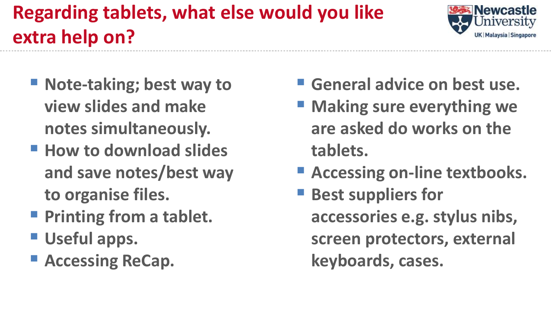# **Regarding tablets, what else would you like extra help on?**



- Note-taking; best way to **view slides and make notes simultaneously.**
- **How to download slides and save notes/best way to organise files.**
- **Printing from a tablet.**
- **Useful apps.**
- **Accessing ReCap.**
- **General advice on best use.**
- **Making sure everything we are asked do works on the tablets.**
- **Accessing on-line textbooks.**
- **Best suppliers for accessories e.g. stylus nibs, screen protectors, external keyboards, cases.**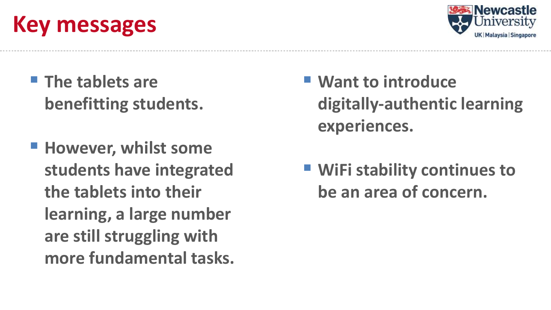# **Key messages**



- **The tablets are benefitting students.**
- **However, whilst some students have integrated the tablets into their learning, a large number are still struggling with more fundamental tasks.**
- **Want to introduce digitally-authentic learning experiences.**
- WiFi stability continues to **be an area of concern.**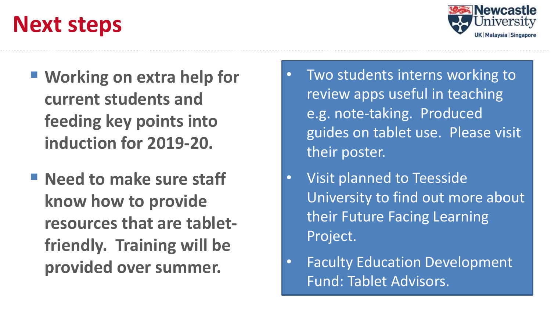# **Next steps**



- **Working on extra help for current students and feeding key points into induction for 2019-20.**
- **Need to make sure staff know how to provide resources that are tabletfriendly. Training will be provided over summer.**
- Two students interns working to review apps useful in teaching e.g. note-taking. Produced guides on tablet use. Please visit their poster.
- Visit planned to Teesside University to find out more about their Future Facing Learning Project.
- Faculty Education Development Fund: Tablet Advisors.